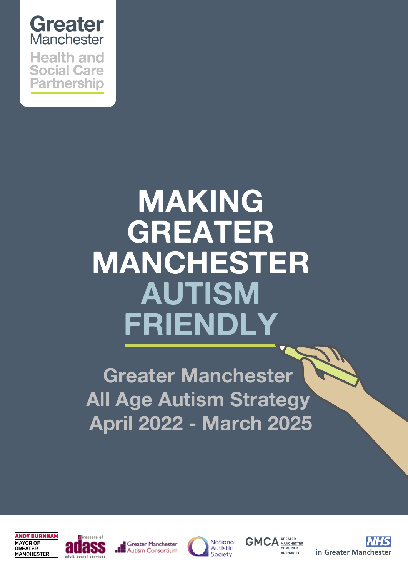

# **MAKING GREATER MANCHESTER AUTISM FRIENDLY**

**Greater Manchester All Age Autism Strategy April 2022 - March 2025**





Greater Manchester Autism Consortium





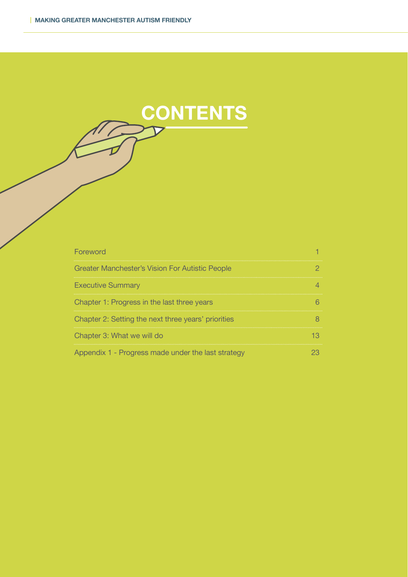# **CONTENTS**

| Foreword                                               |  |
|--------------------------------------------------------|--|
| <b>Greater Manchester's Vision For Autistic People</b> |  |
| <b>Executive Summary</b>                               |  |
| Chapter 1: Progress in the last three years            |  |
| Chapter 2: Setting the next three years' priorities    |  |
| Chapter 3: What we will do                             |  |
| Appendix 1 - Progress made under the last strategy     |  |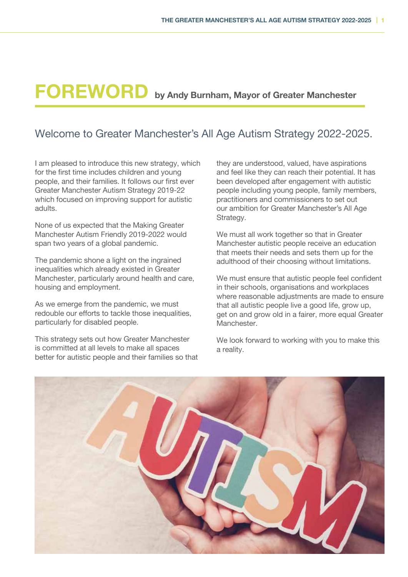### **FOREWORD by Andy Burnham, Mayor of Greater Manchester**

### Welcome to Greater Manchester's All Age Autism Strategy 2022-2025.

I am pleased to introduce this new strategy, which for the first time includes children and young people, and their families. It follows our first ever Greater Manchester Autism Strategy 2019-22 which focused on improving support for autistic adults.

None of us expected that the Making Greater Manchester Autism Friendly 2019-2022 would span two years of a global pandemic.

The pandemic shone a light on the ingrained inequalities which already existed in Greater Manchester, particularly around health and care, housing and employment.

As we emerge from the pandemic, we must redouble our efforts to tackle those inequalities, particularly for disabled people.

This strategy sets out how Greater Manchester is committed at all levels to make all spaces better for autistic people and their families so that they are understood, valued, have aspirations and feel like they can reach their potential. It has been developed after engagement with autistic people including young people, family members, practitioners and commissioners to set out our ambition for Greater Manchester's All Age Strategy.

We must all work together so that in Greater Manchester autistic people receive an education that meets their needs and sets them up for the adulthood of their choosing without limitations.

We must ensure that autistic people feel confident in their schools, organisations and workplaces where reasonable adjustments are made to ensure that all autistic people live a good life, grow up, get on and grow old in a fairer, more equal Greater Manchester.

We look forward to working with you to make this a reality.

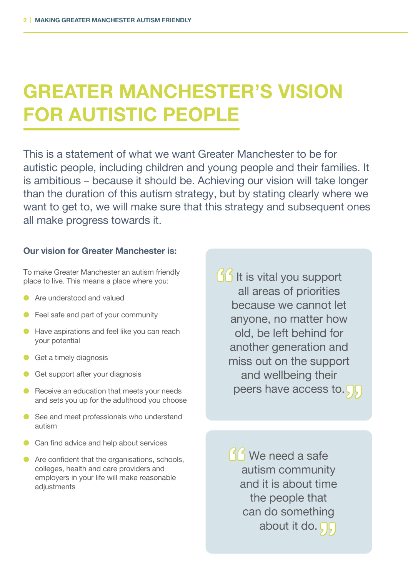### **GREATER MANCHESTER'S VISION FOR AUTISTIC PEOPLE**

This is a statement of what we want Greater Manchester to be for autistic people, including children and young people and their families. It is ambitious – because it should be. Achieving our vision will take longer than the duration of this autism strategy, but by stating clearly where we want to get to, we will make sure that this strategy and subsequent ones all make progress towards it.

#### **Our vision for Greater Manchester is:**

To make Greater Manchester an autism friendly place to live. This means a place where you:

- Are understood and valued
- Feel safe and part of your community
- Have aspirations and feel like you can reach your potential
- Get a timely diagnosis
- Get support after your diagnosis
- Receive an education that meets your needs and sets you up for the adulthood you choose
- See and meet professionals who understand autism
- Can find advice and help about services
- $\bullet$  Are confident that the organisations, schools, colleges, health and care providers and employers in your life will make reasonable adjustments

It is vital you support all areas of priorities because we cannot let anyone, no matter how old, be left behind for another generation and miss out on the support and wellbeing their peers have access to.  $\sqrt{5}$ **"**

We need a safe autism community and it is about time the people that can do something i do something<br>about it do. <mark>Ŋ</mark>Ŋ **"**<br>"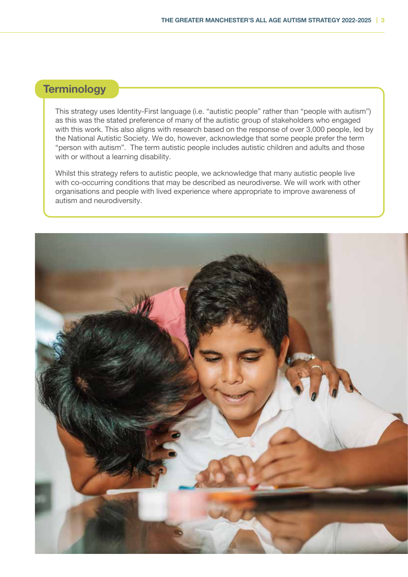### **Terminology**

This strategy uses Identity-First language (i.e. "autistic people" rather than "people with autism") as this was the stated preference of many of the autistic group of stakeholders who engaged with this work. This also aligns with research based on the response of over 3,000 people, led by the National Autistic Society. We do, however, acknowledge that some people prefer the term "person with autism". The term autistic people includes autistic children and adults and those with or without a learning disability.

Whilst this strategy refers to autistic people, we acknowledge that many autistic people live with co-occurring conditions that may be described as neurodiverse. We will work with other organisations and people with lived experience where appropriate to improve awareness of autism and neurodiversity.

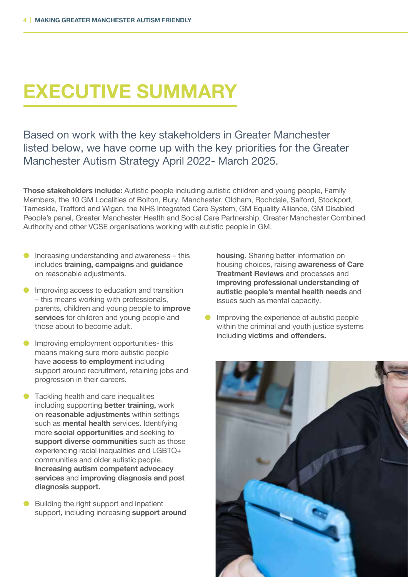# **EXECUTIVE SUMMARY**

Based on work with the key stakeholders in Greater Manchester listed below, we have come up with the key priorities for the Greater Manchester Autism Strategy April 2022- March 2025.

**Those stakeholders include:** Autistic people including autistic children and young people, Family Members, the 10 GM Localities of Bolton, Bury, Manchester, Oldham, Rochdale, Salford, Stockport, Tameside, Trafford and Wigan, the NHS Integrated Care System, GM Equality Alliance, GM Disabled People's panel, Greater Manchester Health and Social Care Partnership, Greater Manchester Combined Authority and other VCSE organisations working with autistic people in GM.

- $\bullet$  Increasing understanding and awareness  $-$  this includes **training, campaigns** and **guidance** on reasonable adjustments.
- **•** Improving access to education and transition – this means working with professionals, parents, children and young people to **improve services** for children and young people and those about to become adult.
- **•** Improving employment opportunities- this means making sure more autistic people have **access to employment** including support around recruitment, retaining jobs and progression in their careers.
- Tackling health and care inequalities including supporting **better training,** work on **reasonable adjustments** within settings such as **mental health** services. Identifying more **social opportunities** and seeking to **support diverse communities** such as those experiencing racial inequalities and LGBTQ+ communities and older autistic people. **Increasing autism competent advocacy services** and **improving diagnosis and post diagnosis support.**
- **Building the right support and inpatient** support, including increasing **support around**

**housing.** Sharing better information on housing choices, raising **awareness of Care Treatment Reviews** and processes and **improving professional understanding of autistic people's mental health needs** and issues such as mental capacity.

Improving the experience of autistic people within the criminal and youth justice systems including **victims and offenders.**

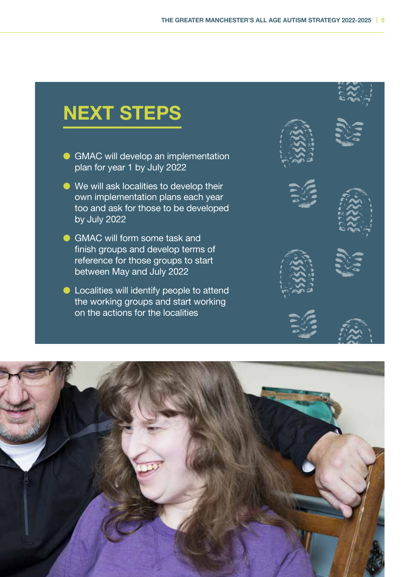### **NEXT STEPS**

- GMAC will develop an implementation plan for year 1 by July 2022
- $\bullet$  We will ask localities to develop their own implementation plans each year too and ask for those to be developed by July 2022
- GMAC will form some task and finish groups and develop terms of reference for those groups to start between May and July 2022
- Localities will identify people to attend the working groups and start working on the actions for the localities











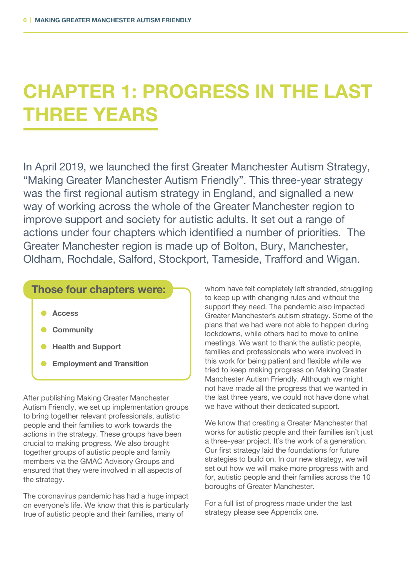### **CHAPTER 1: PROGRESS IN THE LAST THREE YEARS**

In April 2019, we launched the first Greater Manchester Autism Strategy, "Making Greater Manchester Autism Friendly". This three-year strategy was the first regional autism strategy in England, and signalled a new way of working across the whole of the Greater Manchester region to improve support and society for autistic adults. It set out a range of actions under four chapters which identified a number of priorities. The Greater Manchester region is made up of Bolton, Bury, Manchester, Oldham, Rochdale, Salford, Stockport, Tameside, Trafford and Wigan.

#### **Those four chapters were:**

- **Access**
- **Community**
- **Health and Support**
- **Employment and Transition**

After publishing Making Greater Manchester Autism Friendly, we set up implementation groups to bring together relevant professionals, autistic people and their families to work towards the actions in the strategy. These groups have been crucial to making progress. We also brought together groups of autistic people and family members via the GMAC Advisory Groups and ensured that they were involved in all aspects of the strategy.

The coronavirus pandemic has had a huge impact on everyone's life. We know that this is particularly true of autistic people and their families, many of

whom have felt completely left stranded, struggling to keep up with changing rules and without the support they need. The pandemic also impacted Greater Manchester's autism strategy. Some of the plans that we had were not able to happen during lockdowns, while others had to move to online meetings. We want to thank the autistic people, families and professionals who were involved in this work for being patient and flexible while we tried to keep making progress on Making Greater Manchester Autism Friendly. Although we might not have made all the progress that we wanted in the last three years, we could not have done what we have without their dedicated support.

We know that creating a Greater Manchester that works for autistic people and their families isn't just a three-year project. It's the work of a generation. Our first strategy laid the foundations for future strategies to build on. In our new strategy, we will set out how we will make more progress with and for, autistic people and their families across the 10 boroughs of Greater Manchester.

For a full list of progress made under the last strategy please see Appendix one.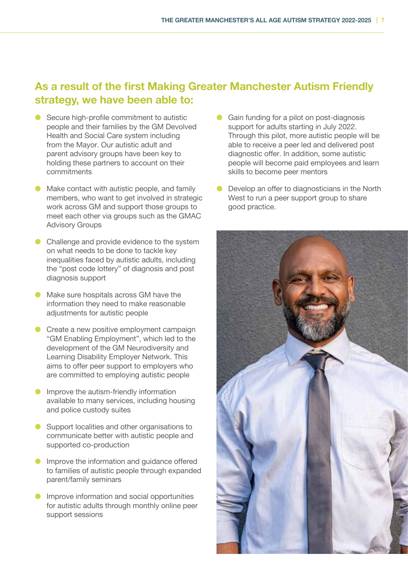#### **As a result of the first Making Greater Manchester Autism Friendly strategy, we have been able to:**

- Secure high-profile commitment to autistic people and their families by the GM Devolved Health and Social Care system including from the Mayor. Our autistic adult and parent advisory groups have been key to holding these partners to account on their commitments
- Make contact with autistic people, and family members, who want to get involved in strategic work across GM and support those groups to meet each other via groups such as the GMAC Advisory Groups
- Challenge and provide evidence to the system on what needs to be done to tackle key inequalities faced by autistic adults, including the "post code lottery" of diagnosis and post diagnosis support
- Make sure hospitals across GM have the information they need to make reasonable adjustments for autistic people
- Create a new positive employment campaign "GM Enabling Employment", which led to the development of the GM Neurodiversity and Learning Disability Employer Network. This aims to offer peer support to employers who are committed to employing autistic people
- Improve the autism-friendly information available to many services, including housing and police custody suites
- Support localities and other organisations to communicate better with autistic people and supported co-production
- **•** Improve the information and guidance offered to families of autistic people through expanded parent/family seminars
- **•** Improve information and social opportunities for autistic adults through monthly online peer support sessions
- Gain funding for a pilot on post-diagnosis support for adults starting in July 2022. Through this pilot, more autistic people will be able to receive a peer led and delivered post diagnostic offer. In addition, some autistic people will become paid employees and learn skills to become peer mentors
- Develop an offer to diagnosticians in the North West to run a peer support group to share good practice.

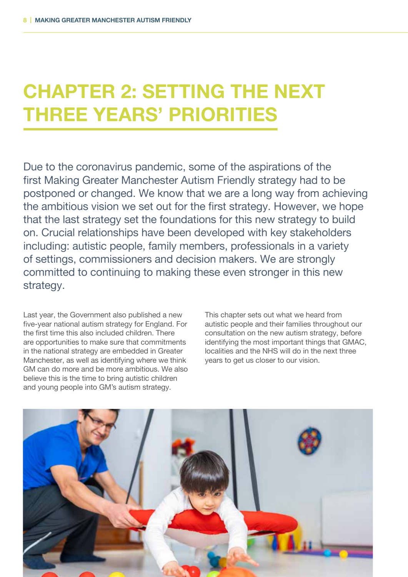### <span id="page-9-0"></span>**CHAPTER 2: SETTING THE NEXT THREE YEARS' PRIORITIES**

Due to the coronavirus pandemic, some of the aspirations of the first Making Greater Manchester Autism Friendly strategy had to be postponed or changed. We know that we are a long way from achieving the ambitious vision we set out for the first strategy. However, we hope that the last strategy set the foundations for this new strategy to build on. Crucial relationships have been developed with key stakeholders including: autistic people, family members, professionals in a variety of settings, commissioners and decision makers. We are strongly committed to continuing to making these even stronger in this new strategy.

Last year, the Government also published a new five-year national autism strategy for England. For the first time this also included children. There are opportunities to make sure that commitments in the national strategy are embedded in Greater Manchester, as well as identifying where we think GM can do more and be more ambitious. We also believe this is the time to bring autistic children and young people into GM's autism strategy.

This chapter sets out what we heard from autistic people and their families throughout our consultation on the new autism strategy, before identifying the most important things that GMAC, localities and the NHS will do in the next three years to get us closer to our vision.

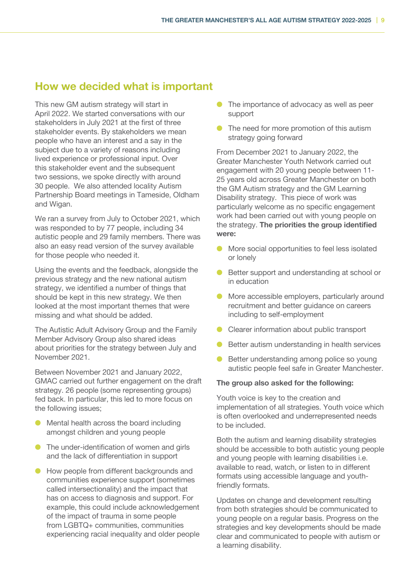#### <span id="page-10-0"></span>**How we decided what is important**

This new GM autism strategy will start in April 2022. We started conversations with our stakeholders in July 2021 at the first of three stakeholder events. By stakeholders we mean people who have an interest and a say in the subject due to a variety of reasons including lived experience or professional input. Over this stakeholder event and the subsequent two sessions, we spoke directly with around 30 people. We also attended locality Autism Partnership Board meetings in Tameside, Oldham and Wigan.

We ran a survey from July to October 2021, which was responded to by 77 people, including 34 autistic people and 29 family members. There was also an easy read version of the survey available for those people who needed it.

Using the events and the feedback, alongside the previous strategy and the new national autism strategy, we identified a number of things that should be kept in this new strategy. We then looked at the most important themes that were missing and what should be added.

The Autistic Adult Advisory Group and the Family Member Advisory Group also shared ideas about priorities for the strategy between July and November 2021.

Between November 2021 and January 2022, GMAC carried out further engagement on the draft strategy. 26 people (some representing groups) fed back. In particular, this led to more focus on the following issues;

- Mental health across the board including amongst children and young people
- The under-identification of women and girls and the lack of differentiation in support
- How people from different backgrounds and communities experience support (sometimes called intersectionality) and the impact that has on access to diagnosis and support. For example, this could include acknowledgement of the impact of trauma in some people from LGBTQ+ communities, communities experiencing racial inequality and older people
- The importance of advocacy as well as peer support
- The need for more promotion of this autism strategy going forward

From December 2021 to January 2022, the Greater Manchester Youth Network carried out engagement with 20 young people between 11- 25 years old across Greater Manchester on both the GM Autism strategy and the GM Learning Disability strategy. This piece of work was particularly welcome as no specific engagement work had been carried out with young people on the strategy. **The priorities the group identified were:**

- More social opportunities to feel less isolated or lonely
- Better support and understanding at school or in education
- More accessible employers, particularly around recruitment and better guidance on careers including to self-employment
- Clearer information about public transport
- Better autism understanding in health services
- Better understanding among police so young autistic people feel safe in Greater Manchester.

#### **The group also asked for the following:**

Youth voice is key to the creation and implementation of all strategies. Youth voice which is often overlooked and underrepresented needs to be included.

Both the autism and learning disability strategies should be accessible to both autistic young people and young people with learning disabilities i.e. available to read, watch, or listen to in different formats using accessible language and youthfriendly formats.

Updates on change and development resulting from both strategies should be communicated to young people on a regular basis. Progress on the strategies and key developments should be made clear and communicated to people with autism or a learning disability.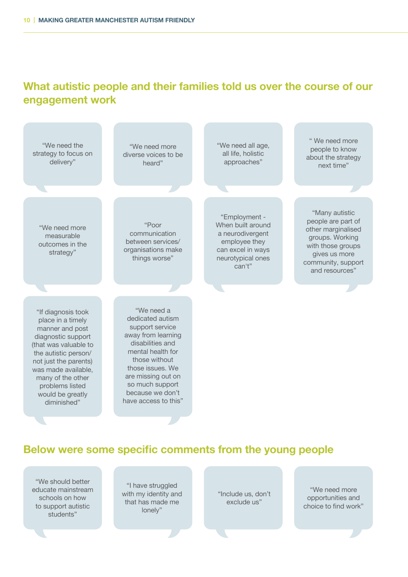#### <span id="page-11-0"></span>**What autistic people and their families told us over the course of our engagement work**



#### **Below were some specific comments from the young people**

"We should better educate mainstream schools on how to support autistic students"

"I have struggled with my identity and that has made me lonely"

"Include us, don't exclude us"

"We need more opportunities and choice to find work"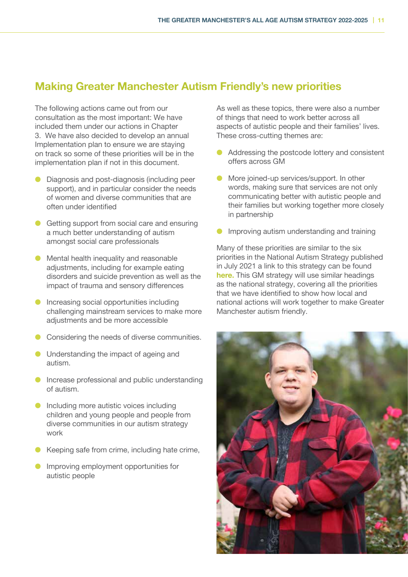#### **Making Greater Manchester Autism Friendly's new priorities**

The following actions came out from our consultation as the most important: We have included them under our actions in Chapter 3. We have also decided to develop an annual Implementation plan to ensure we are staying on track so some of these priorities will be in the implementation plan if not in this document.

- Diagnosis and post-diagnosis (including peer support), and in particular consider the needs of women and diverse communities that are often under identified
- Getting support from social care and ensuring a much better understanding of autism amongst social care professionals
- Mental health inequality and reasonable adjustments, including for example eating disorders and suicide prevention as well as the impact of trauma and sensory differences
- Increasing social opportunities including challenging mainstream services to make more adjustments and be more accessible
- Considering the needs of diverse communities.
- Understanding the impact of ageing and autism.
- Increase professional and public understanding of autism.
- Including more autistic voices including children and young people and people from diverse communities in our autism strategy work
- $\triangleright$  Keeping safe from crime, including hate crime,
- Improving employment opportunities for autistic people

As well as these topics, there were also a number of things that need to work better across all aspects of autistic people and their families' lives. These cross-cutting themes are:

- Addressing the postcode lottery and consistent offers across GM
- More joined-up services/support. In other words, making sure that services are not only communicating better with autistic people and their families but working together more closely in partnership
- Improving autism understanding and training

Many of these priorities are similar to the six priorities in the National Autism Strategy published in July 2021 a link to this strategy can be found **[here.](https://www.gov.uk/government/publications/national-strategy-for-autistic-children-young-people-and-adults-2021-to-2026)** This GM strategy will use similar headings as the national strategy, covering all the priorities that we have identified to show how local and national actions will work together to make Greater Manchester autism friendly.

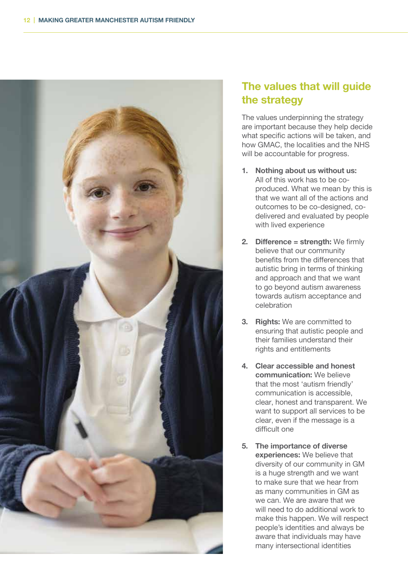

### **The values that will guide the strategy**

The values underpinning the strategy are important because they help decide what specific actions will be taken, and how GMAC, the localities and the NHS will be accountable for progress.

- **1. Nothing about us without us:** All of this work has to be coproduced. What we mean by this is that we want all of the actions and outcomes to be co-designed, codelivered and evaluated by people with lived experience
- **2. Difference = strength:** We firmly believe that our community benefits from the differences that autistic bring in terms of thinking and approach and that we want to go beyond autism awareness towards autism acceptance and celebration
- **3. Rights:** We are committed to ensuring that autistic people and their families understand their rights and entitlements
- **4. Clear accessible and honest communication:** We believe that the most 'autism friendly' communication is accessible, clear, honest and transparent. We want to support all services to be clear, even if the message is a difficult one
- **5. The importance of diverse experiences:** We believe that diversity of our community in GM is a huge strength and we want to make sure that we hear from as many communities in GM as we can. We are aware that we will need to do additional work to make this happen. We will respect people's identities and always be aware that individuals may have many intersectional identities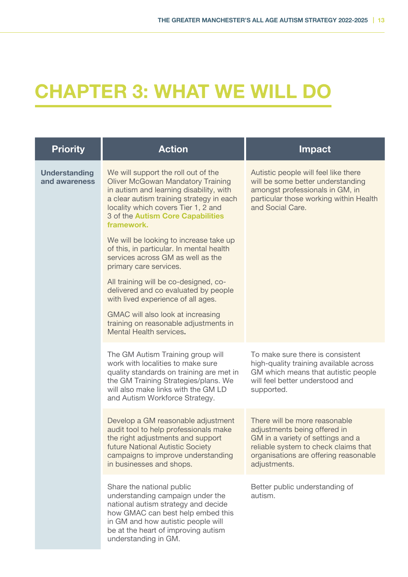### **CHAPTER 3: WHAT WE WILL DO**

| <b>Priority</b>                       | <b>Action</b>                                                                                                                                                                                                                                                    | <b>Impact</b>                                                                                                                                                                                       |
|---------------------------------------|------------------------------------------------------------------------------------------------------------------------------------------------------------------------------------------------------------------------------------------------------------------|-----------------------------------------------------------------------------------------------------------------------------------------------------------------------------------------------------|
| <b>Understanding</b><br>and awareness | We will support the roll out of the<br><b>Oliver McGowan Mandatory Training</b><br>in autism and learning disability, with<br>a clear autism training strategy in each<br>locality which covers Tier 1, 2 and<br>3 of the Autism Core Capabilities<br>framework. | Autistic people will feel like there<br>will be some better understanding<br>amongst professionals in GM, in<br>particular those working within Health<br>and Social Care.                          |
|                                       | We will be looking to increase take up<br>of this, in particular. In mental health<br>services across GM as well as the<br>primary care services.                                                                                                                |                                                                                                                                                                                                     |
|                                       | All training will be co-designed, co-<br>delivered and co evaluated by people<br>with lived experience of all ages.                                                                                                                                              |                                                                                                                                                                                                     |
|                                       | GMAC will also look at increasing<br>training on reasonable adjustments in<br>Mental Health services.                                                                                                                                                            |                                                                                                                                                                                                     |
|                                       | The GM Autism Training group will<br>work with localities to make sure<br>quality standards on training are met in<br>the GM Training Strategies/plans. We<br>will also make links with the GM LD<br>and Autism Workforce Strategy.                              | To make sure there is consistent<br>high-quality training available across<br>GM which means that autistic people<br>will feel better understood and<br>supported.                                  |
|                                       | Develop a GM reasonable adjustment<br>audit tool to help professionals make<br>the right adjustments and support<br>future National Autistic Society<br>campaigns to improve understanding<br>in businesses and shops.                                           | There will be more reasonable<br>adjustments being offered in<br>GM in a variety of settings and a<br>reliable system to check claims that<br>organisations are offering reasonable<br>adjustments. |
|                                       | Share the national public<br>understanding campaign under the<br>national autism strategy and decide<br>how GMAC can best help embed this<br>in GM and how autistic people will<br>be at the heart of improving autism<br>understanding in GM.                   | Better public understanding of<br>autism.                                                                                                                                                           |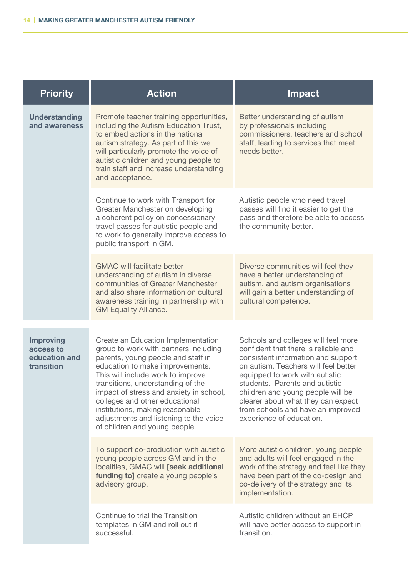| <b>Priority</b>                                              | <b>Action</b>                                                                                                                                                                                                                                                                                                                                                                                                             | <b>Impact</b>                                                                                                                                                                                                                                                                                                                                                             |
|--------------------------------------------------------------|---------------------------------------------------------------------------------------------------------------------------------------------------------------------------------------------------------------------------------------------------------------------------------------------------------------------------------------------------------------------------------------------------------------------------|---------------------------------------------------------------------------------------------------------------------------------------------------------------------------------------------------------------------------------------------------------------------------------------------------------------------------------------------------------------------------|
| <b>Understanding</b><br>and awareness                        | Promote teacher training opportunities,<br>including the Autism Education Trust,<br>to embed actions in the national<br>autism strategy. As part of this we<br>will particularly promote the voice of<br>autistic children and young people to<br>train staff and increase understanding<br>and acceptance.                                                                                                               | Better understanding of autism<br>by professionals including<br>commissioners, teachers and school<br>staff, leading to services that meet<br>needs better.                                                                                                                                                                                                               |
|                                                              | Continue to work with Transport for<br>Greater Manchester on developing<br>a coherent policy on concessionary<br>travel passes for autistic people and<br>to work to generally improve access to<br>public transport in GM.                                                                                                                                                                                               | Autistic people who need travel<br>passes will find it easier to get the<br>pass and therefore be able to access<br>the community better.                                                                                                                                                                                                                                 |
|                                                              | <b>GMAC will facilitate better</b><br>understanding of autism in diverse<br>communities of Greater Manchester<br>and also share information on cultural<br>awareness training in partnership with<br><b>GM Equality Alliance.</b>                                                                                                                                                                                         | Diverse communities will feel they<br>have a better understanding of<br>autism, and autism organisations<br>will gain a better understanding of<br>cultural competence.                                                                                                                                                                                                   |
| <b>Improving</b><br>access to<br>education and<br>transition | Create an Education Implementation<br>group to work with partners including<br>parents, young people and staff in<br>education to make improvements.<br>This will include work to improve<br>transitions, understanding of the<br>impact of stress and anxiety in school,<br>colleges and other educational<br>institutions, making reasonable<br>adjustments and listening to the voice<br>of children and young people. | Schools and colleges will feel more<br>confident that there is reliable and<br>consistent information and support<br>on autism. Teachers will feel better<br>equipped to work with autistic<br>students. Parents and autistic<br>children and young people will be<br>clearer about what they can expect<br>from schools and have an improved<br>experience of education. |
|                                                              | To support co-production with autistic<br>young people across GM and in the<br>localities, GMAC will [seek additional<br>funding to] create a young people's<br>advisory group.                                                                                                                                                                                                                                           | More autistic children, young people<br>and adults will feel engaged in the<br>work of the strategy and feel like they<br>have been part of the co-design and<br>co-delivery of the strategy and its<br>implementation.                                                                                                                                                   |
|                                                              | Continue to trial the Transition<br>templates in GM and roll out if<br>successful.                                                                                                                                                                                                                                                                                                                                        | Autistic children without an EHCP<br>will have better access to support in<br>transition.                                                                                                                                                                                                                                                                                 |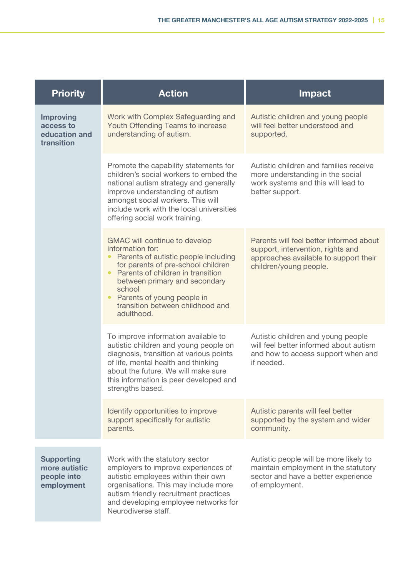| <b>Priority</b>                                                 | <b>Action</b>                                                                                                                                                                                                                                                                                                       | <b>Impact</b>                                                                                                                                   |
|-----------------------------------------------------------------|---------------------------------------------------------------------------------------------------------------------------------------------------------------------------------------------------------------------------------------------------------------------------------------------------------------------|-------------------------------------------------------------------------------------------------------------------------------------------------|
| <b>Improving</b><br>access to<br>education and<br>transition    | Work with Complex Safeguarding and<br>Youth Offending Teams to increase<br>understanding of autism.                                                                                                                                                                                                                 | Autistic children and young people<br>will feel better understood and<br>supported.                                                             |
|                                                                 | Promote the capability statements for<br>children's social workers to embed the<br>national autism strategy and generally<br>improve understanding of autism<br>amongst social workers. This will<br>include work with the local universities<br>offering social work training.                                     | Autistic children and families receive<br>more understanding in the social<br>work systems and this will lead to<br>better support.             |
|                                                                 | <b>GMAC</b> will continue to develop<br>information for:<br>Parents of autistic people including<br>for parents of pre-school children<br>Parents of children in transition<br>between primary and secondary<br>school<br>Parents of young people in<br>$\bullet$<br>transition between childhood and<br>adulthood. | Parents will feel better informed about<br>support, intervention, rights and<br>approaches available to support their<br>children/young people. |
|                                                                 | To improve information available to<br>autistic children and young people on<br>diagnosis, transition at various points<br>of life, mental health and thinking<br>about the future. We will make sure<br>this information is peer developed and<br>strengths based.                                                 | Autistic children and young people<br>will feel better informed about autism<br>and how to access support when and<br>if needed.                |
|                                                                 | Identify opportunities to improve<br>support specifically for autistic<br>parents.                                                                                                                                                                                                                                  | Autistic parents will feel better<br>supported by the system and wider<br>community.                                                            |
| <b>Supporting</b><br>more autistic<br>people into<br>employment | Work with the statutory sector<br>employers to improve experiences of<br>autistic employees within their own<br>organisations. This may include more<br>autism friendly recruitment practices<br>and developing employee networks for<br>Neurodiverse staff.                                                        | Autistic people will be more likely to<br>maintain employment in the statutory<br>sector and have a better experience<br>of employment.         |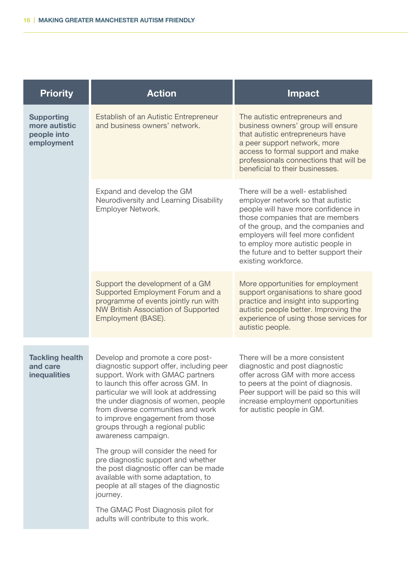| <b>Priority</b>                                                 | <b>Action</b>                                                                                                                                                                                                                                                                                                                                                                                                                                             | <b>Impact</b>                                                                                                                                                                                                                                                                                                                        |
|-----------------------------------------------------------------|-----------------------------------------------------------------------------------------------------------------------------------------------------------------------------------------------------------------------------------------------------------------------------------------------------------------------------------------------------------------------------------------------------------------------------------------------------------|--------------------------------------------------------------------------------------------------------------------------------------------------------------------------------------------------------------------------------------------------------------------------------------------------------------------------------------|
| <b>Supporting</b><br>more autistic<br>people into<br>employment | <b>Establish of an Autistic Entrepreneur</b><br>and business owners' network.                                                                                                                                                                                                                                                                                                                                                                             | The autistic entrepreneurs and<br>business owners' group will ensure<br>that autistic entrepreneurs have<br>a peer support network, more<br>access to formal support and make<br>professionals connections that will be<br>beneficial to their businesses.                                                                           |
|                                                                 | Expand and develop the GM<br>Neurodiversity and Learning Disability<br>Employer Network.                                                                                                                                                                                                                                                                                                                                                                  | There will be a well- established<br>employer network so that autistic<br>people will have more confidence in<br>those companies that are members<br>of the group, and the companies and<br>employers will feel more confident<br>to employ more autistic people in<br>the future and to better support their<br>existing workforce. |
|                                                                 | Support the development of a GM<br>Supported Employment Forum and a<br>programme of events jointly run with<br><b>NW British Association of Supported</b><br>Employment (BASE).                                                                                                                                                                                                                                                                           | More opportunities for employment<br>support organisations to share good<br>practice and insight into supporting<br>autistic people better. Improving the<br>experience of using those services for<br>autistic people.                                                                                                              |
| <b>Tackling health</b><br>and care<br><b>inequalities</b>       | Develop and promote a core post-<br>diagnostic support offer, including peer<br>support. Work with GMAC partners<br>to launch this offer across GM. In<br>particular we will look at addressing<br>the under diagnosis of women, people<br>from diverse communities and work<br>to improve engagement from those<br>groups through a regional public<br>awareness campaign.<br>The group will consider the need for<br>pre diagnostic support and whether | There will be a more consistent<br>diagnostic and post diagnostic<br>offer across GM with more access<br>to peers at the point of diagnosis.<br>Peer support will be paid so this will<br>increase employment opportunities<br>for autistic people in GM.                                                                            |
|                                                                 | the post diagnostic offer can be made<br>available with some adaptation, to<br>people at all stages of the diagnostic<br>journey.<br>The GMAC Post Diagnosis pilot for                                                                                                                                                                                                                                                                                    |                                                                                                                                                                                                                                                                                                                                      |
|                                                                 | adults will contribute to this work.                                                                                                                                                                                                                                                                                                                                                                                                                      |                                                                                                                                                                                                                                                                                                                                      |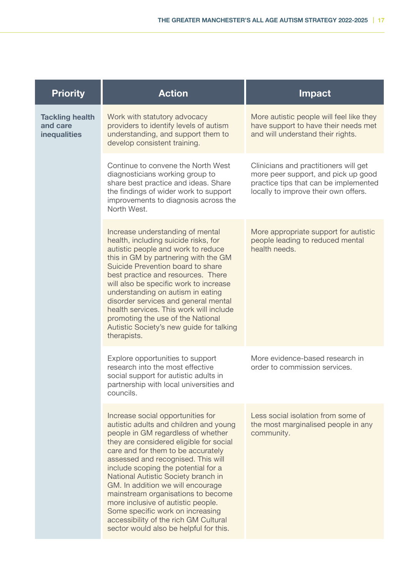| <b>Priority</b>                                    | <b>Action</b>                                                                                                                                                                                                                                                                                                                                                                                                                                                                                                                                                  | <b>Impact</b>                                                                                                                                                 |
|----------------------------------------------------|----------------------------------------------------------------------------------------------------------------------------------------------------------------------------------------------------------------------------------------------------------------------------------------------------------------------------------------------------------------------------------------------------------------------------------------------------------------------------------------------------------------------------------------------------------------|---------------------------------------------------------------------------------------------------------------------------------------------------------------|
| <b>Tackling health</b><br>and care<br>inequalities | Work with statutory advocacy<br>providers to identify levels of autism<br>understanding, and support them to<br>develop consistent training.                                                                                                                                                                                                                                                                                                                                                                                                                   | More autistic people will feel like they<br>have support to have their needs met<br>and will understand their rights.                                         |
|                                                    | Continue to convene the North West<br>diagnosticians working group to<br>share best practice and ideas. Share<br>the findings of wider work to support<br>improvements to diagnosis across the<br>North West.                                                                                                                                                                                                                                                                                                                                                  | Clinicians and practitioners will get<br>more peer support, and pick up good<br>practice tips that can be implemented<br>locally to improve their own offers. |
|                                                    | Increase understanding of mental<br>health, including suicide risks, for<br>autistic people and work to reduce<br>this in GM by partnering with the GM<br>Suicide Prevention board to share<br>best practice and resources. There<br>will also be specific work to increase<br>understanding on autism in eating<br>disorder services and general mental<br>health services. This work will include<br>promoting the use of the National<br>Autistic Society's new guide for talking<br>therapists.                                                            | More appropriate support for autistic<br>people leading to reduced mental<br>health needs.                                                                    |
|                                                    | Explore opportunities to support<br>research into the most effective<br>social support for autistic adults in<br>partnership with local universities and<br>councils.                                                                                                                                                                                                                                                                                                                                                                                          | More evidence-based research in<br>order to commission services.                                                                                              |
|                                                    | Increase social opportunities for<br>autistic adults and children and young<br>people in GM regardless of whether<br>they are considered eligible for social<br>care and for them to be accurately<br>assessed and recognised. This will<br>include scoping the potential for a<br>National Autistic Society branch in<br>GM. In addition we will encourage<br>mainstream organisations to become<br>more inclusive of autistic people.<br>Some specific work on increasing<br>accessibility of the rich GM Cultural<br>sector would also be helpful for this. | Less social isolation from some of<br>the most marginalised people in any<br>community.                                                                       |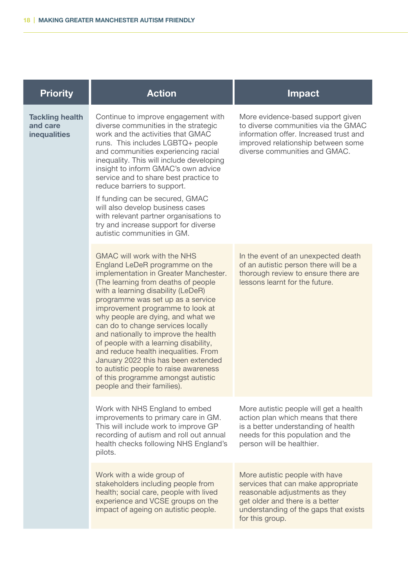| <b>Priority</b>                                           | <b>Action</b>                                                                                                                                                                                                                                                                                                                                                                                                                                                                                                                                                                                                               | <b>Impact</b>                                                                                                                                                                                         |
|-----------------------------------------------------------|-----------------------------------------------------------------------------------------------------------------------------------------------------------------------------------------------------------------------------------------------------------------------------------------------------------------------------------------------------------------------------------------------------------------------------------------------------------------------------------------------------------------------------------------------------------------------------------------------------------------------------|-------------------------------------------------------------------------------------------------------------------------------------------------------------------------------------------------------|
| <b>Tackling health</b><br>and care<br><b>inequalities</b> | Continue to improve engagement with<br>diverse communities in the strategic<br>work and the activities that GMAC<br>runs. This includes LGBTQ+ people<br>and communities experiencing racial<br>inequality. This will include developing<br>insight to inform GMAC's own advice<br>service and to share best practice to<br>reduce barriers to support.<br>If funding can be secured, GMAC<br>will also develop business cases<br>with relevant partner organisations to<br>try and increase support for diverse<br>autistic communities in GM.                                                                             | More evidence-based support given<br>to diverse communities via the GMAC<br>information offer. Increased trust and<br>improved relationship between some<br>diverse communities and GMAC.             |
|                                                           | <b>GMAC will work with the NHS</b><br>England LeDeR programme on the<br>implementation in Greater Manchester.<br>(The learning from deaths of people<br>with a learning disability (LeDeR)<br>programme was set up as a service<br>improvement programme to look at<br>why people are dying, and what we<br>can do to change services locally<br>and nationally to improve the health<br>of people with a learning disability,<br>and reduce health inequalities. From<br>January 2022 this has been extended<br>to autistic people to raise awareness<br>of this programme amongst autistic<br>people and their families). | In the event of an unexpected death<br>of an autistic person there will be a<br>thorough review to ensure there are<br>lessons learnt for the future.                                                 |
|                                                           | Work with NHS England to embed<br>improvements to primary care in GM.<br>This will include work to improve GP<br>recording of autism and roll out annual<br>health checks following NHS England's<br>pilots.                                                                                                                                                                                                                                                                                                                                                                                                                | More autistic people will get a health<br>action plan which means that there<br>is a better understanding of health<br>needs for this population and the<br>person will be healthier.                 |
|                                                           | Work with a wide group of<br>stakeholders including people from<br>health; social care, people with lived<br>experience and VCSE groups on the<br>impact of ageing on autistic people.                                                                                                                                                                                                                                                                                                                                                                                                                                      | More autistic people with have<br>services that can make appropriate<br>reasonable adjustments as they<br>get older and there is a better<br>understanding of the gaps that exists<br>for this group. |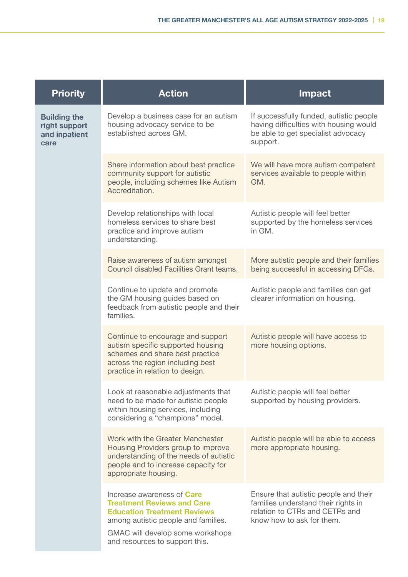| <b>Priority</b>                                               | <b>Action</b>                                                                                                                                                                                                             | <b>Impact</b>                                                                                                                               |
|---------------------------------------------------------------|---------------------------------------------------------------------------------------------------------------------------------------------------------------------------------------------------------------------------|---------------------------------------------------------------------------------------------------------------------------------------------|
| <b>Building the</b><br>right support<br>and inpatient<br>care | Develop a business case for an autism<br>housing advocacy service to be<br>established across GM.                                                                                                                         | If successfully funded, autistic people<br>having difficulties with housing would<br>be able to get specialist advocacy<br>support.         |
|                                                               | Share information about best practice<br>community support for autistic<br>people, including schemes like Autism<br>Accreditation.                                                                                        | We will have more autism competent<br>services available to people within<br>GM.                                                            |
|                                                               | Develop relationships with local<br>homeless services to share best<br>practice and improve autism<br>understanding.                                                                                                      | Autistic people will feel better<br>supported by the homeless services<br>in GM.                                                            |
|                                                               | Raise awareness of autism amongst<br>Council disabled Facilities Grant teams.                                                                                                                                             | More autistic people and their families<br>being successful in accessing DFGs.                                                              |
|                                                               | Continue to update and promote<br>the GM housing guides based on<br>feedback from autistic people and their<br>families.                                                                                                  | Autistic people and families can get<br>clearer information on housing.                                                                     |
|                                                               | Continue to encourage and support<br>autism specific supported housing<br>schemes and share best practice<br>across the region including best<br>practice in relation to design.                                          | Autistic people will have access to<br>more housing options.                                                                                |
|                                                               | Look at reasonable adjustments that<br>need to be made for autistic people<br>within housing services, including<br>considering a "champions" model.                                                                      | Autistic people will feel better<br>supported by housing providers.                                                                         |
|                                                               | Work with the Greater Manchester<br>Housing Providers group to improve<br>understanding of the needs of autistic<br>people and to increase capacity for<br>appropriate housing.                                           | Autistic people will be able to access<br>more appropriate housing.                                                                         |
|                                                               | Increase awareness of <b>Care</b><br><b>Treatment Reviews and Care</b><br><b>Education Treatment Reviews</b><br>among autistic people and families.<br>GMAC will develop some workshops<br>and resources to support this. | Ensure that autistic people and their<br>families understand their rights in<br>relation to CTRs and CETRs and<br>know how to ask for them. |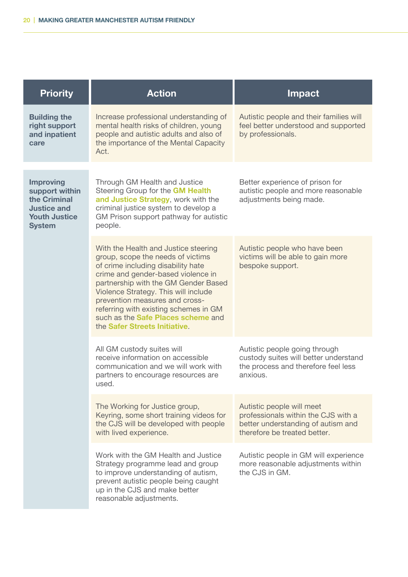| <b>Priority</b>                                                                                                   | <b>Action</b>                                                                                                                                                                                                                                                                                                                                                                           | <b>Impact</b>                                                                                                                          |
|-------------------------------------------------------------------------------------------------------------------|-----------------------------------------------------------------------------------------------------------------------------------------------------------------------------------------------------------------------------------------------------------------------------------------------------------------------------------------------------------------------------------------|----------------------------------------------------------------------------------------------------------------------------------------|
| <b>Building the</b><br>right support<br>and inpatient<br>care                                                     | Increase professional understanding of<br>mental health risks of children, young<br>people and autistic adults and also of<br>the importance of the Mental Capacity<br>Act.                                                                                                                                                                                                             | Autistic people and their families will<br>feel better understood and supported<br>by professionals.                                   |
| <b>Improving</b><br>support within<br>the Criminal<br><b>Justice and</b><br><b>Youth Justice</b><br><b>System</b> | Through GM Health and Justice<br>Steering Group for the <b>GM Health</b><br>and Justice Strategy, work with the<br>criminal justice system to develop a<br>GM Prison support pathway for autistic<br>people.                                                                                                                                                                            | Better experience of prison for<br>autistic people and more reasonable<br>adjustments being made.                                      |
|                                                                                                                   | With the Health and Justice steering<br>group, scope the needs of victims<br>of crime including disability hate<br>crime and gender-based violence in<br>partnership with the GM Gender Based<br>Violence Strategy. This will include<br>prevention measures and cross-<br>referring with existing schemes in GM<br>such as the Safe Places scheme and<br>the Safer Streets Initiative. | Autistic people who have been<br>victims will be able to gain more<br>bespoke support.                                                 |
|                                                                                                                   | All GM custody suites will<br>receive information on accessible<br>communication and we will work with<br>partners to encourage resources are<br>used.                                                                                                                                                                                                                                  | Autistic people going through<br>custody suites will better understand<br>the process and therefore feel less<br>anxious.              |
|                                                                                                                   | The Working for Justice group,<br>Keyring, some short training videos for<br>the CJS will be developed with people<br>with lived experience.                                                                                                                                                                                                                                            | Autistic people will meet<br>professionals within the CJS with a<br>better understanding of autism and<br>therefore be treated better. |
|                                                                                                                   | Work with the GM Health and Justice<br>Strategy programme lead and group<br>to improve understanding of autism,<br>prevent autistic people being caught<br>up in the CJS and make better<br>reasonable adjustments.                                                                                                                                                                     | Autistic people in GM will experience<br>more reasonable adjustments within<br>the CJS in GM.                                          |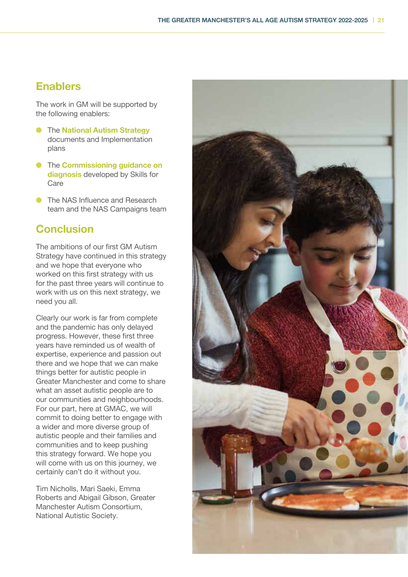#### **Enablers**

The work in GM will be supported by the following enablers:

- The **[National Autism Strategy](https://www.gov.uk/government/publications/national-strategy-for-autistic-children-young-people-and-adults-2021-to-2026)** documents and Implementation plans
- The **[Commissioning guidance on](https://www.skillsforcare.org.uk/resources/documents/Developing-your-workforce/Care-topics/Autism/Commissioning-autism-services/Commissioner-framework-main-FINAL-150621.pdf)  [diagnosis](https://www.skillsforcare.org.uk/resources/documents/Developing-your-workforce/Care-topics/Autism/Commissioning-autism-services/Commissioner-framework-main-FINAL-150621.pdf)** developed by Skills for **Care**
- The NAS Influence and Research team and the NAS Campaigns team

#### **Conclusion**

The ambitions of our first GM Autism Strategy have continued in this strategy and we hope that everyone who worked on this first strategy with us for the past three years will continue to work with us on this next strategy, we need you all.

Clearly our work is far from complete and the pandemic has only delayed progress. However, these first three years have reminded us of wealth of expertise, experience and passion out there and we hope that we can make things better for autistic people in Greater Manchester and come to share what an asset autistic people are to our communities and neighbourhoods. For our part, here at GMAC, we will commit to doing better to engage with a wider and more diverse group of autistic people and their families and communities and to keep pushing this strategy forward. We hope you will come with us on this journey, we certainly can't do it without you.

Tim Nicholls, Mari Saeki, Emma Roberts and Abigail Gibson, Greater Manchester Autism Consortium, National Autistic Society.

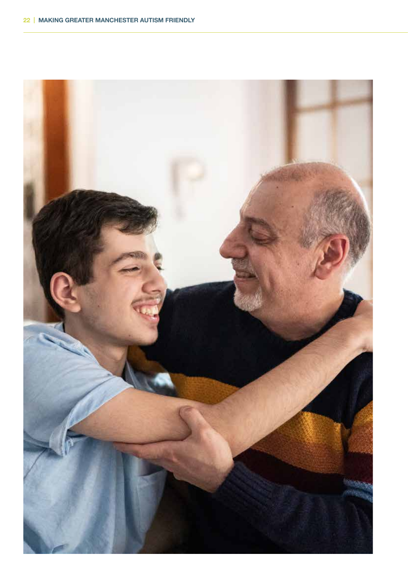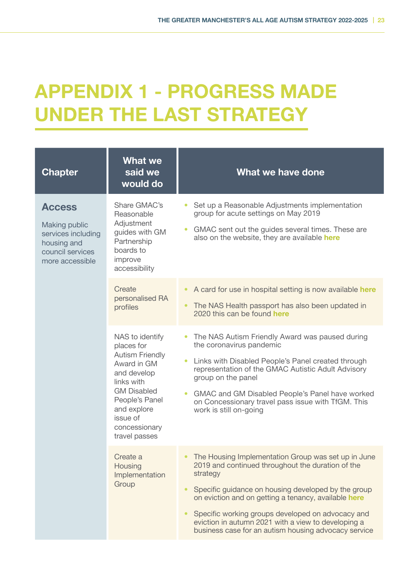### **APPENDIX 1 - PROGRESS MADE UNDER THE LAST STRATEGY**

| <b>Chapter</b>                                                                                                    | <b>What we</b><br>said we<br>would do                                                                                                                                                                    | What we have done                                                                                                                                                                                                                                                                                                                                                                                       |
|-------------------------------------------------------------------------------------------------------------------|----------------------------------------------------------------------------------------------------------------------------------------------------------------------------------------------------------|---------------------------------------------------------------------------------------------------------------------------------------------------------------------------------------------------------------------------------------------------------------------------------------------------------------------------------------------------------------------------------------------------------|
| <b>Access</b><br><b>Making public</b><br>services including<br>housing and<br>council services<br>more accessible | Share GMAC's<br>Reasonable<br>Adjustment<br>guides with GM<br>Partnership<br>boards to<br>improve<br>accessibility                                                                                       | Set up a Reasonable Adjustments implementation<br>group for acute settings on May 2019<br>GMAC sent out the guides several times. These are<br>also on the website, they are available here                                                                                                                                                                                                             |
|                                                                                                                   | Create<br>personalised RA<br>profiles                                                                                                                                                                    | A card for use in hospital setting is now available here<br>The NAS Health passport has also been updated in<br>2020 this can be found here                                                                                                                                                                                                                                                             |
|                                                                                                                   | NAS to identify<br>places for<br><b>Autism Friendly</b><br>Award in GM<br>and develop<br>links with<br><b>GM Disabled</b><br>People's Panel<br>and explore<br>issue of<br>concessionary<br>travel passes | The NAS Autism Friendly Award was paused during<br>the coronavirus pandemic<br>Links with Disabled People's Panel created through<br>representation of the GMAC Autistic Adult Advisory<br>group on the panel<br>GMAC and GM Disabled People's Panel have worked<br>on Concessionary travel pass issue with TfGM. This<br>work is still on-going                                                        |
|                                                                                                                   | Create a<br>Housing<br>Implementation<br>Group                                                                                                                                                           | The Housing Implementation Group was set up in June<br>2019 and continued throughout the duration of the<br>strategy<br>Specific guidance on housing developed by the group<br>on eviction and on getting a tenancy, available here<br>Specific working groups developed on advocacy and<br>eviction in autumn 2021 with a view to developing a<br>business case for an autism housing advocacy service |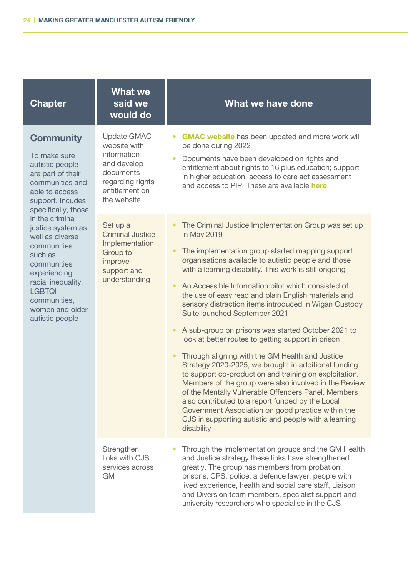| <b>Chapter</b>                                                                                                                                                                                                                                                                                                                                                            | <b>What we</b><br>said we<br>would do                                                                                              | What we have done                                                                                                                                                                                                                                                                                                                                                                                                                                                                                                                                                                                                                                                                                                                                                                                                                                                                                                                                                                                                                   |
|---------------------------------------------------------------------------------------------------------------------------------------------------------------------------------------------------------------------------------------------------------------------------------------------------------------------------------------------------------------------------|------------------------------------------------------------------------------------------------------------------------------------|-------------------------------------------------------------------------------------------------------------------------------------------------------------------------------------------------------------------------------------------------------------------------------------------------------------------------------------------------------------------------------------------------------------------------------------------------------------------------------------------------------------------------------------------------------------------------------------------------------------------------------------------------------------------------------------------------------------------------------------------------------------------------------------------------------------------------------------------------------------------------------------------------------------------------------------------------------------------------------------------------------------------------------------|
| <b>Community</b><br>To make sure<br>autistic people<br>are part of their<br>communities and<br>able to access<br>support. Incudes<br>specifically, those<br>in the criminal<br>justice system as<br>well as diverse<br>communities<br>such as<br>communities<br>experiencing<br>racial inequality,<br><b>LGBTQI</b><br>communities,<br>women and older<br>autistic people | <b>Update GMAC</b><br>website with<br>information<br>and develop<br>documents<br>regarding rights<br>entitlement on<br>the website | <b>GMAC website</b> has been updated and more work will<br>be done during 2022<br>Documents have been developed on rights and<br>entitlement about rights to 16 plus education; support<br>in higher education, access to care act assessment<br>and access to PIP. These are available here                                                                                                                                                                                                                                                                                                                                                                                                                                                                                                                                                                                                                                                                                                                                        |
|                                                                                                                                                                                                                                                                                                                                                                           | Set up a<br><b>Criminal Justice</b><br>Implementation<br>Group to<br>improve<br>support and<br>understanding                       | The Criminal Justice Implementation Group was set up<br>in May 2019<br>The implementation group started mapping support<br>organisations available to autistic people and those<br>with a learning disability. This work is still ongoing<br>An Accessible Information pilot which consisted of<br>the use of easy read and plain English materials and<br>sensory distraction items introduced in Wigan Custody<br>Suite launched September 2021<br>A sub-group on prisons was started October 2021 to<br>look at better routes to getting support in prison<br>Through aligning with the GM Health and Justice<br>Strategy 2020-2025, we brought in additional funding<br>to support co-production and training on exploitation.<br>Members of the group were also involved in the Review<br>of the Mentally Vulnerable Offenders Panel. Members<br>also contributed to a report funded by the Local<br>Government Association on good practice within the<br>CJS in supporting autistic and people with a learning<br>disability |
|                                                                                                                                                                                                                                                                                                                                                                           | Strengthen<br>links with CJS<br>services across<br><b>GM</b>                                                                       | Through the Implementation groups and the GM Health<br>and Justice strategy these links have strengthened<br>greatly. The group has members from probation,<br>prisons, CPS, police, a defence lawyer, people with<br>lived experience, health and social care staff, Liaison<br>and Diversion team members, specialist support and<br>university researchers who specialise in the CJS                                                                                                                                                                                                                                                                                                                                                                                                                                                                                                                                                                                                                                             |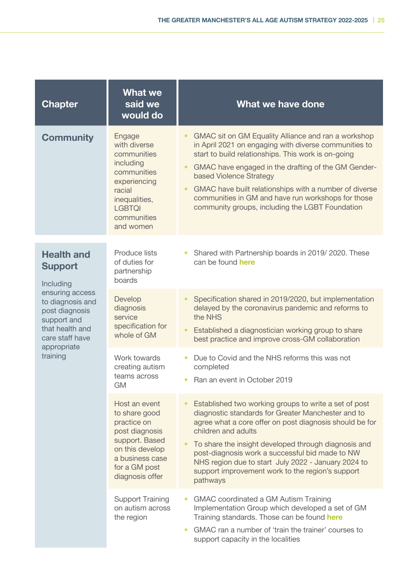| <b>Chapter</b>                                                                                                                        | <b>What we</b><br>said we<br>would do                                                                                                                       | What we have done                                                                                                                                                                                                                                                                                                                                                                                                                            |
|---------------------------------------------------------------------------------------------------------------------------------------|-------------------------------------------------------------------------------------------------------------------------------------------------------------|----------------------------------------------------------------------------------------------------------------------------------------------------------------------------------------------------------------------------------------------------------------------------------------------------------------------------------------------------------------------------------------------------------------------------------------------|
| <b>Community</b>                                                                                                                      | Engage<br>with diverse<br>communities<br>including<br>communities<br>experiencing<br>racial<br>inequalities,<br><b>LGBTQI</b><br>communities<br>and women   | GMAC sit on GM Equality Alliance and ran a workshop<br>in April 2021 on engaging with diverse communities to<br>start to build relationships. This work is on-going<br>GMAC have engaged in the drafting of the GM Gender-<br>based Violence Strategy<br>GMAC have built relationships with a number of diverse<br>$\bullet$<br>communities in GM and have run workshops for those<br>community groups, including the LGBT Foundation        |
| <b>Health and</b><br><b>Support</b><br>Including                                                                                      | <b>Produce lists</b><br>of duties for<br>partnership<br>boards                                                                                              | Shared with Partnership boards in 2019/2020. These<br>can be found here                                                                                                                                                                                                                                                                                                                                                                      |
| ensuring access<br>to diagnosis and<br>post diagnosis<br>support and<br>that health and<br>care staff have<br>appropriate<br>training | Develop<br>diagnosis<br>service<br>specification for<br>whole of GM                                                                                         | Specification shared in 2019/2020, but implementation<br>$\bullet$<br>delayed by the coronavirus pandemic and reforms to<br>the NHS<br>Established a diagnostician working group to share<br>best practice and improve cross-GM collaboration                                                                                                                                                                                                |
|                                                                                                                                       | Work towards<br>creating autism<br>teams across<br><b>GM</b>                                                                                                | Due to Covid and the NHS reforms this was not<br>completed<br>Ran an event in October 2019                                                                                                                                                                                                                                                                                                                                                   |
|                                                                                                                                       | Host an event<br>to share good<br>practice on<br>post diagnosis<br>support. Based<br>on this develop<br>a business case<br>for a GM post<br>diagnosis offer | Established two working groups to write a set of post<br>$\bullet$<br>diagnostic standards for Greater Manchester and to<br>agree what a core offer on post diagnosis should be for<br>children and adults<br>To share the insight developed through diagnosis and<br>post-diagnosis work a successful bid made to NW<br>NHS region due to start July 2022 - January 2024 to<br>support improvement work to the region's support<br>pathways |
|                                                                                                                                       | <b>Support Training</b><br>on autism across<br>the region                                                                                                   | <b>GMAC</b> coordinated a GM Autism Training<br>Implementation Group which developed a set of GM<br>Training standards. Those can be found here<br>GMAC ran a number of 'train the trainer' courses to<br>support capacity in the localities                                                                                                                                                                                                 |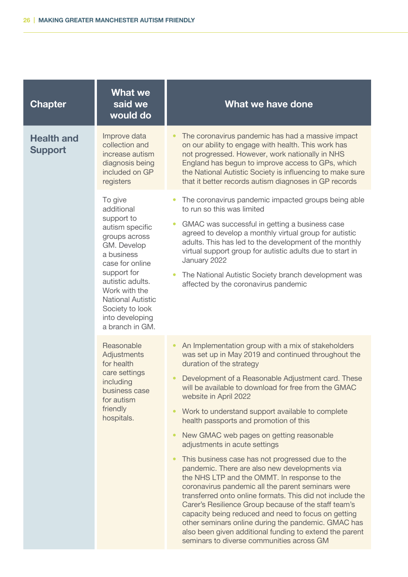| <b>Chapter</b>                      | <b>What we</b><br>said we<br>would do                                                                                                                                                                                                                            | What we have done                                                                                                                                                                                                                                                                                                                                                                                                                                                                                                                                                                                                                                                                                                                                                                                                                                                                                                                                                                                            |
|-------------------------------------|------------------------------------------------------------------------------------------------------------------------------------------------------------------------------------------------------------------------------------------------------------------|--------------------------------------------------------------------------------------------------------------------------------------------------------------------------------------------------------------------------------------------------------------------------------------------------------------------------------------------------------------------------------------------------------------------------------------------------------------------------------------------------------------------------------------------------------------------------------------------------------------------------------------------------------------------------------------------------------------------------------------------------------------------------------------------------------------------------------------------------------------------------------------------------------------------------------------------------------------------------------------------------------------|
| <b>Health and</b><br><b>Support</b> | Improve data<br>collection and<br>increase autism<br>diagnosis being<br>included on GP<br>registers                                                                                                                                                              | The coronavirus pandemic has had a massive impact<br>on our ability to engage with health. This work has<br>not progressed. However, work nationally in NHS<br>England has begun to improve access to GPs, which<br>the National Autistic Society is influencing to make sure<br>that it better records autism diagnoses in GP records                                                                                                                                                                                                                                                                                                                                                                                                                                                                                                                                                                                                                                                                       |
|                                     | To give<br>additional<br>support to<br>autism specific<br>groups across<br>GM. Develop<br>a business<br>case for online<br>support for<br>autistic adults.<br>Work with the<br><b>National Autistic</b><br>Society to look<br>into developing<br>a branch in GM. | The coronavirus pandemic impacted groups being able<br>to run so this was limited<br>GMAC was successful in getting a business case<br>agreed to develop a monthly virtual group for autistic<br>adults. This has led to the development of the monthly<br>virtual support group for autistic adults due to start in<br>January 2022<br>The National Autistic Society branch development was<br>affected by the coronavirus pandemic                                                                                                                                                                                                                                                                                                                                                                                                                                                                                                                                                                         |
|                                     | Reasonable<br><b>Adjustments</b><br>for health<br>care settings<br>including<br>business case<br>for autism<br>friendly<br>hospitals.                                                                                                                            | An Implementation group with a mix of stakeholders<br>was set up in May 2019 and continued throughout the<br>duration of the strategy<br>Development of a Reasonable Adjustment card. These<br>will be available to download for free from the GMAC<br>website in April 2022<br>Work to understand support available to complete<br>health passports and promotion of this<br>New GMAC web pages on getting reasonable<br>adjustments in acute settings<br>This business case has not progressed due to the<br>pandemic. There are also new developments via<br>the NHS LTP and the OMMT. In response to the<br>coronavirus pandemic all the parent seminars were<br>transferred onto online formats. This did not include the<br>Carer's Resilience Group because of the staff team's<br>capacity being reduced and need to focus on getting<br>other seminars online during the pandemic. GMAC has<br>also been given additional funding to extend the parent<br>seminars to diverse communities across GM |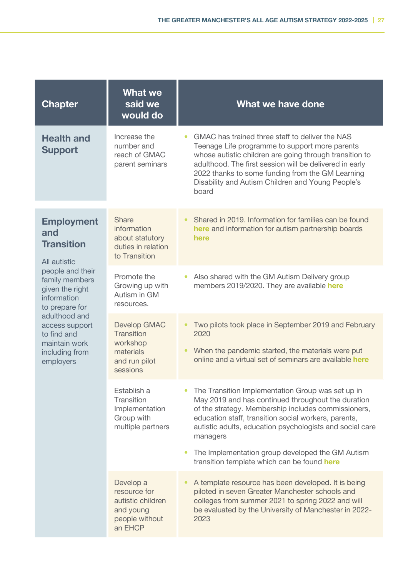| <b>Chapter</b>                                                                                                                                                                                                                                            | <b>What we</b><br>said we<br>would do                                                    | What we have done                                                                                                                                                                                                                                                                                                                         |
|-----------------------------------------------------------------------------------------------------------------------------------------------------------------------------------------------------------------------------------------------------------|------------------------------------------------------------------------------------------|-------------------------------------------------------------------------------------------------------------------------------------------------------------------------------------------------------------------------------------------------------------------------------------------------------------------------------------------|
| <b>Health and</b><br><b>Support</b>                                                                                                                                                                                                                       | Increase the<br>number and<br>reach of GMAC<br>parent seminars                           | GMAC has trained three staff to deliver the NAS<br>Teenage Life programme to support more parents<br>whose autistic children are going through transition to<br>adulthood. The first session will be delivered in early<br>2022 thanks to some funding from the GM Learning<br>Disability and Autism Children and Young People's<br>board |
| <b>Employment</b><br>and<br><b>Transition</b><br>All autistic<br>people and their<br>family members<br>given the right<br>information<br>to prepare for<br>adulthood and<br>access support<br>to find and<br>maintain work<br>including from<br>employers | <b>Share</b><br>information<br>about statutory<br>duties in relation<br>to Transition    | Shared in 2019. Information for families can be found<br>here and information for autism partnership boards<br>here                                                                                                                                                                                                                       |
|                                                                                                                                                                                                                                                           | Promote the<br>Growing up with<br>Autism in GM<br>resources.                             | Also shared with the GM Autism Delivery group<br>members 2019/2020. They are available here                                                                                                                                                                                                                                               |
|                                                                                                                                                                                                                                                           | <b>Develop GMAC</b><br>Transition<br>workshop<br>materials<br>and run pilot<br>sessions  | Two pilots took place in September 2019 and February<br>$\bullet$<br>2020<br>When the pandemic started, the materials were put<br>online and a virtual set of seminars are available here                                                                                                                                                 |
|                                                                                                                                                                                                                                                           | Establish a<br>Transition<br>Implementation<br>Group with<br>multiple partners           | The Transition Implementation Group was set up in<br>May 2019 and has continued throughout the duration<br>of the strategy. Membership includes commissioners,<br>education staff, transition social workers, parents,<br>autistic adults, education psychologists and social care<br>managers                                            |
|                                                                                                                                                                                                                                                           |                                                                                          | The Implementation group developed the GM Autism<br>transition template which can be found here                                                                                                                                                                                                                                           |
|                                                                                                                                                                                                                                                           | Develop a<br>resource for<br>autistic children<br>and young<br>people without<br>an EHCP | A template resource has been developed. It is being<br>piloted in seven Greater Manchester schools and<br>colleges from summer 2021 to spring 2022 and will<br>be evaluated by the University of Manchester in 2022-<br>2023                                                                                                              |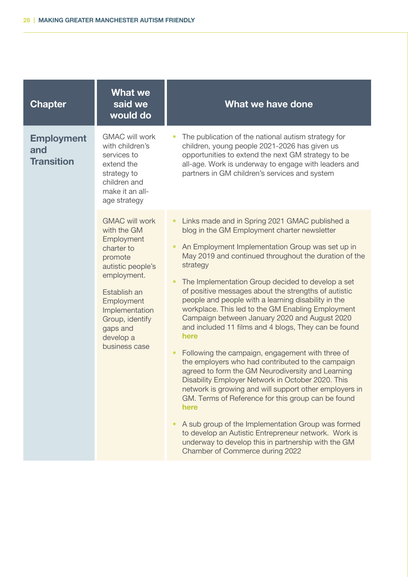<span id="page-29-0"></span>

| <b>Chapter</b>                                | <b>What we</b><br>said we<br>would do                                                                                                                                                                                        | What we have done                                                                                                                                                                                                                                                                                                                                                                                                                                                                                                                                                                                                                                                                                                                                                                                                                                                                                                                                                                                                                                                                                                    |
|-----------------------------------------------|------------------------------------------------------------------------------------------------------------------------------------------------------------------------------------------------------------------------------|----------------------------------------------------------------------------------------------------------------------------------------------------------------------------------------------------------------------------------------------------------------------------------------------------------------------------------------------------------------------------------------------------------------------------------------------------------------------------------------------------------------------------------------------------------------------------------------------------------------------------------------------------------------------------------------------------------------------------------------------------------------------------------------------------------------------------------------------------------------------------------------------------------------------------------------------------------------------------------------------------------------------------------------------------------------------------------------------------------------------|
| <b>Employment</b><br>and<br><b>Transition</b> | <b>GMAC will work</b><br>with children's<br>services to<br>extend the<br>strategy to<br>children and<br>make it an all-<br>age strategy                                                                                      | The publication of the national autism strategy for<br>children, young people 2021-2026 has given us<br>opportunities to extend the next GM strategy to be<br>all-age. Work is underway to engage with leaders and<br>partners in GM children's services and system                                                                                                                                                                                                                                                                                                                                                                                                                                                                                                                                                                                                                                                                                                                                                                                                                                                  |
|                                               | <b>GMAC will work</b><br>with the GM<br>Employment<br>charter to<br>promote<br>autistic people's<br>employment.<br>Establish an<br>Employment<br>Implementation<br>Group, identify<br>gaps and<br>develop a<br>business case | Links made and in Spring 2021 GMAC published a<br>blog in the GM Employment charter newsletter<br>An Employment Implementation Group was set up in<br>May 2019 and continued throughout the duration of the<br>strategy<br>The Implementation Group decided to develop a set<br>of positive messages about the strengths of autistic<br>people and people with a learning disability in the<br>workplace. This led to the GM Enabling Employment<br>Campaign between January 2020 and August 2020<br>and included 11 films and 4 blogs, They can be found<br>here<br>Following the campaign, engagement with three of<br>the employers who had contributed to the campaign<br>agreed to form the GM Neurodiversity and Learning<br>Disability Employer Network in October 2020. This<br>network is growing and will support other employers in<br>GM. Terms of Reference for this group can be found<br>here<br>A sub group of the Implementation Group was formed<br>to develop an Autistic Entrepreneur network. Work is<br>underway to develop this in partnership with the GM<br>Chamber of Commerce during 2022 |